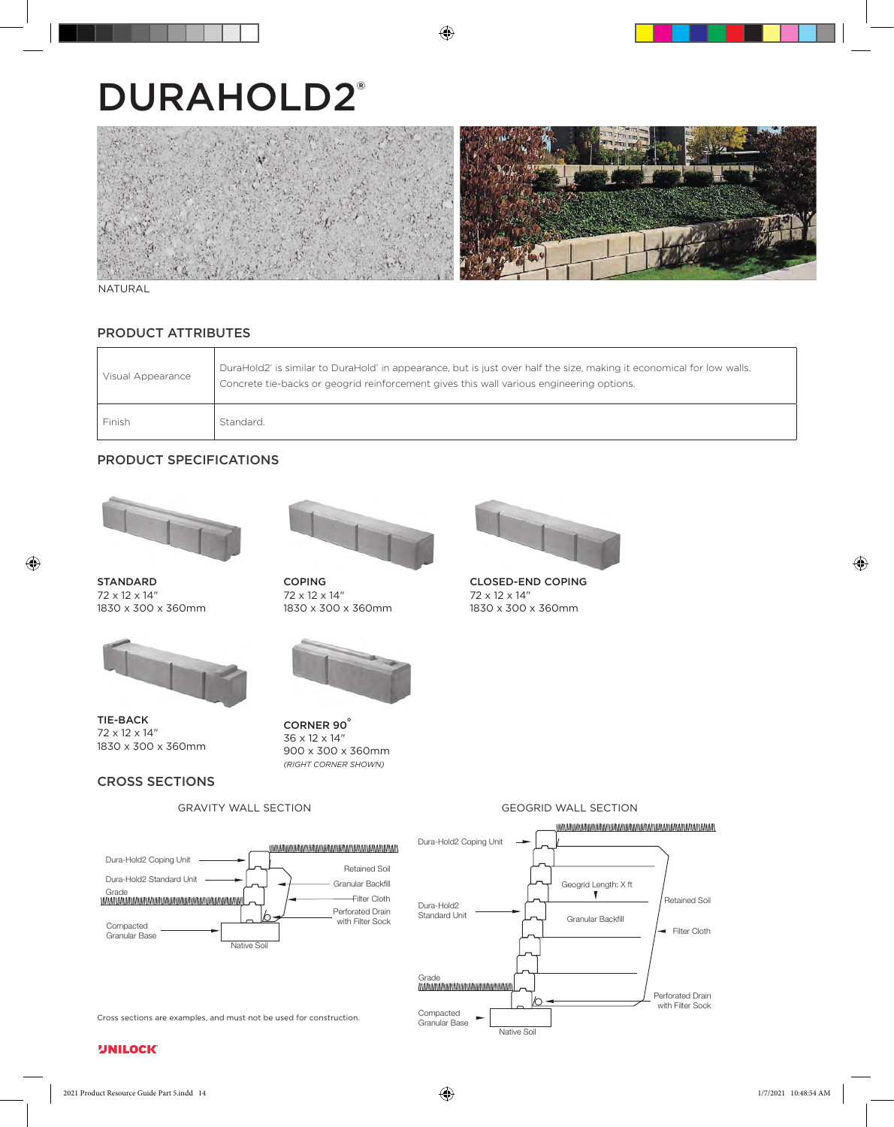# DURAHOLD2®



#### NATURAL

# PRODUCT ATTRIBUTES

| Visual Appearance | DuraHold2 <sup>*</sup> is similar to DuraHold <sup>*</sup> in appearance, but is just over half the size, making it economical for low walls.<br>Concrete tie-backs or geogrid reinforcement gives this wall various engineering options. |
|-------------------|-------------------------------------------------------------------------------------------------------------------------------------------------------------------------------------------------------------------------------------------|
| Finish            | Standard.                                                                                                                                                                                                                                 |

# PRODUCT SPECIFICATIONS



STANDARD 72 x 12 x 14" 1830 x 300 x 360mm



TIE-BACK 72 x 12 x 14" 1830 x 300 x 360mm

# CROSS SECTIONS



COPING 72 x 12 x 14" 1830 x 300 x 360mm



CORNER 90° 36 x 12 x 14" 900 x 300 x 360mm *(RIGHT CORNER SHOWN)*



CLOSED-END COPING 72 x 12 x 14" 1830 x 300 x 360mm

# GRAVITY WALL SECTION



Native Soil



**UNILOCK**